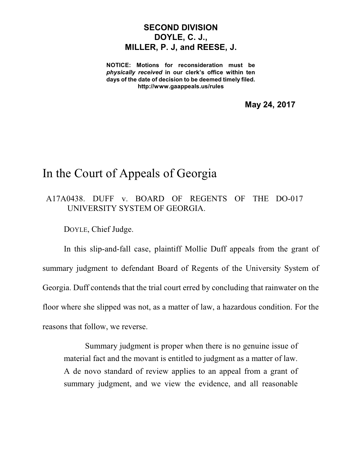## **SECOND DIVISION DOYLE, C. J., MILLER, P. J, and REESE, J.**

**NOTICE: Motions for reconsideration must be** *physically received* **in our clerk's office within ten days of the date of decision to be deemed timely filed. http://www.gaappeals.us/rules**

**May 24, 2017**

## In the Court of Appeals of Georgia

## A17A0438. DUFF v. BOARD OF REGENTS OF THE DO-017 UNIVERSITY SYSTEM OF GEORGIA.

DOYLE, Chief Judge.

In this slip-and-fall case, plaintiff Mollie Duff appeals from the grant of summary judgment to defendant Board of Regents of the University System of Georgia. Duff contends that the trial court erred by concluding that rainwater on the floor where she slipped was not, as a matter of law, a hazardous condition. For the reasons that follow, we reverse.

Summary judgment is proper when there is no genuine issue of material fact and the movant is entitled to judgment as a matter of law. A de novo standard of review applies to an appeal from a grant of summary judgment, and we view the evidence, and all reasonable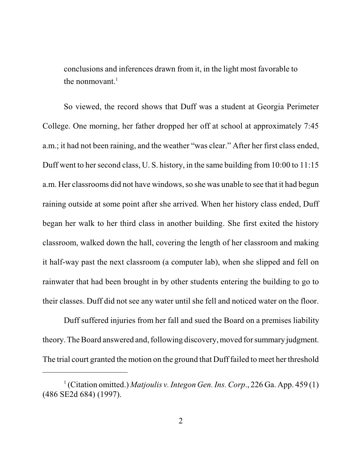conclusions and inferences drawn from it, in the light most favorable to the nonmovant. 1

So viewed, the record shows that Duff was a student at Georgia Perimeter College. One morning, her father dropped her off at school at approximately 7:45 a.m.; it had not been raining, and the weather "was clear." After her first class ended, Duff went to her second class, U. S. history, in the same building from 10:00 to 11:15 a.m. Her classrooms did not have windows, so she was unable to see that it had begun raining outside at some point after she arrived. When her history class ended, Duff began her walk to her third class in another building. She first exited the history classroom, walked down the hall, covering the length of her classroom and making it half-way past the next classroom (a computer lab), when she slipped and fell on rainwater that had been brought in by other students entering the building to go to their classes. Duff did not see any water until she fell and noticed water on the floor.

Duff suffered injuries from her fall and sued the Board on a premises liability theory.The Board answered and, following discovery, moved for summary judgment. The trial court granted the motion on the ground that Duff failed to meet her threshold

<sup>&</sup>lt;sup>1</sup> (Citation omitted.) *Matjoulis v. Integon Gen. Ins. Corp.*, 226 Ga. App. 459 (1) (486 SE2d 684) (1997).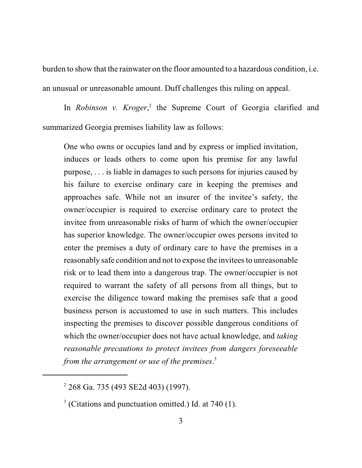burden to show that the rainwater on the floor amounted to a hazardous condition, i.e. an unusual or unreasonable amount. Duff challenges this ruling on appeal.

In *Robinson v. Kroger*,<sup>2</sup> the Supreme Court of Georgia clarified and summarized Georgia premises liability law as follows:

One who owns or occupies land and by express or implied invitation, induces or leads others to come upon his premise for any lawful purpose, . . . is liable in damages to such persons for injuries caused by his failure to exercise ordinary care in keeping the premises and approaches safe. While not an insurer of the invitee's safety, the owner/occupier is required to exercise ordinary care to protect the invitee from unreasonable risks of harm of which the owner/occupier has superior knowledge. The owner/occupier owes persons invited to enter the premises a duty of ordinary care to have the premises in a reasonably safe condition and not to expose the invitees to unreasonable risk or to lead them into a dangerous trap. The owner/occupier is not required to warrant the safety of all persons from all things, but to exercise the diligence toward making the premises safe that a good business person is accustomed to use in such matters. This includes inspecting the premises to discover possible dangerous conditions of which the owner/occupier does not have actual knowledge, and *taking reasonable precautions to protect invitees from dangers foreseeable from the arrangement or use of the premises*. 3

<sup>2</sup> 268 Ga. 735 (493 SE2d 403) (1997).

 $3$  (Citations and punctuation omitted.) Id. at 740 (1).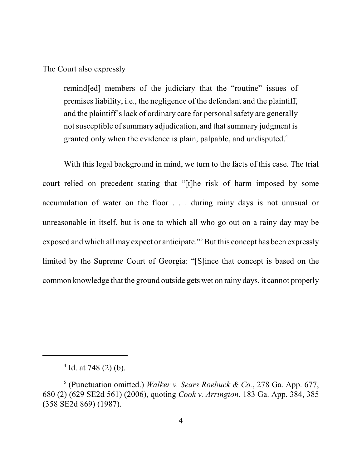The Court also expressly

remind[ed] members of the judiciary that the "routine" issues of premises liability, i.e., the negligence of the defendant and the plaintiff, and the plaintiff's lack of ordinary care for personal safety are generally not susceptible of summary adjudication, and that summary judgment is granted only when the evidence is plain, palpable, and undisputed.<sup>4</sup>

With this legal background in mind, we turn to the facts of this case. The trial court relied on precedent stating that "[t]he risk of harm imposed by some accumulation of water on the floor . . . during rainy days is not unusual or unreasonable in itself, but is one to which all who go out on a rainy day may be exposed and which all may expect or anticipate."<sup>5</sup>But this concept has been expressly limited by the Supreme Court of Georgia: "[S]ince that concept is based on the common knowledge that the ground outside gets wet on rainy days, it cannot properly

 $4$  Id. at 748 (2) (b).

<sup>5</sup> (Punctuation omitted.) *Walker v. Sears Roebuck & Co.*, 278 Ga. App. 677, 680 (2) (629 SE2d 561) (2006), quoting *Cook v. Arrington*, 183 Ga. App. 384, 385 (358 SE2d 869) (1987).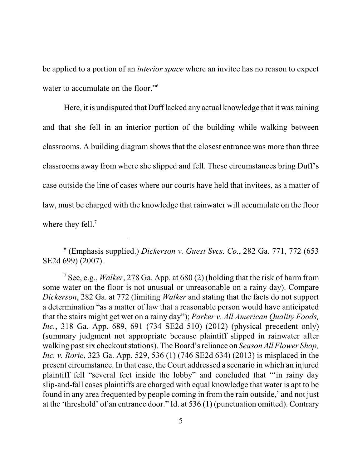be applied to a portion of an *interior space* where an invitee has no reason to expect water to accumulate on the floor."<sup>6</sup>

Here, it is undisputed that Duff lacked any actual knowledge that it wasraining and that she fell in an interior portion of the building while walking between classrooms. A building diagram shows that the closest entrance was more than three classrooms away from where she slipped and fell. These circumstances bring Duff's case outside the line of cases where our courts have held that invitees, as a matter of law, must be charged with the knowledge that rainwater will accumulate on the floor where they fell.<sup>7</sup>

<sup>6</sup> (Emphasis supplied.) *Dickerson v. Guest Svcs. Co.*, 282 Ga. 771, 772 (653 SE2d 699) (2007).

<sup>7</sup> See, e.g., *Walker*, 278 Ga. App. at 680 (2) (holding that the risk of harm from some water on the floor is not unusual or unreasonable on a rainy day). Compare *Dickerson*, 282 Ga. at 772 (limiting *Walker* and stating that the facts do not support a determination "as a matter of law that a reasonable person would have anticipated that the stairs might get wet on a rainy day"); *Parker v. All American Quality Foods, Inc.*, 318 Ga. App. 689, 691 (734 SE2d 510) (2012) (physical precedent only) (summary judgment not appropriate because plaintiff slipped in rainwater after walking pastsix checkoutstations). The Board's reliance on *Season All Flower Shop, Inc. v. Rorie*, 323 Ga. App. 529, 536 (1) (746 SE2d 634) (2013) is misplaced in the present circumstance. In that case, the Court addressed a scenario in which an injured plaintiff fell "several feet inside the lobby" and concluded that "'in rainy day slip-and-fall cases plaintiffs are charged with equal knowledge that water is apt to be found in any area frequented by people coming in from the rain outside,' and not just at the 'threshold' of an entrance door." Id. at 536 (1) (punctuation omitted). Contrary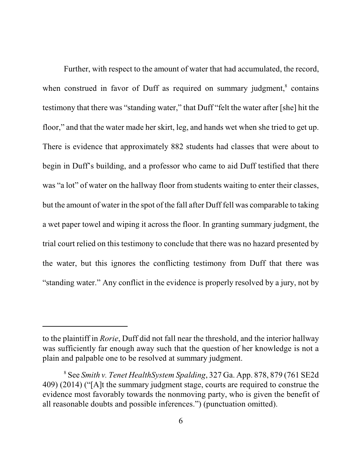Further, with respect to the amount of water that had accumulated, the record, when construed in favor of Duff as required on summary judgment,<sup>8</sup> contains testimony that there was "standing water," that Duff "felt the water after [she] hit the floor," and that the water made her skirt, leg, and hands wet when she tried to get up. There is evidence that approximately 882 students had classes that were about to begin in Duff's building, and a professor who came to aid Duff testified that there was "a lot" of water on the hallway floor from students waiting to enter their classes, but the amount of water in the spot of the fall after Duff fell was comparable to taking a wet paper towel and wiping it across the floor. In granting summary judgment, the trial court relied on this testimony to conclude that there was no hazard presented by the water, but this ignores the conflicting testimony from Duff that there was "standing water." Any conflict in the evidence is properly resolved by a jury, not by

to the plaintiff in *Rorie*, Duff did not fall near the threshold, and the interior hallway was sufficiently far enough away such that the question of her knowledge is not a plain and palpable one to be resolved at summary judgment.

<sup>8</sup> See *Smith v. Tenet HealthSystem Spalding*, 327 Ga. App. 878, 879 (761 SE2d 409) (2014) ("[A]t the summary judgment stage, courts are required to construe the evidence most favorably towards the nonmoving party, who is given the benefit of all reasonable doubts and possible inferences.") (punctuation omitted).